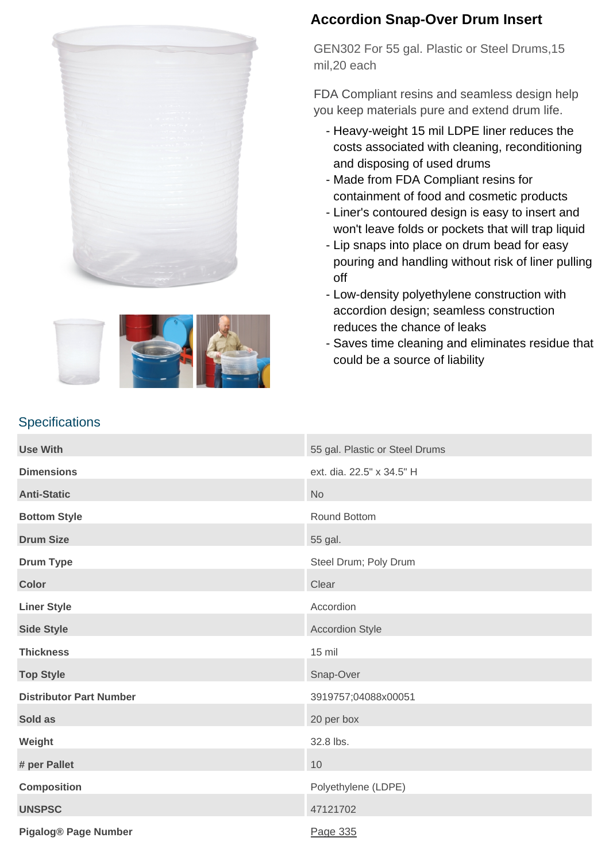



### **Accordion Snap-Over Drum Insert**

GEN302 For 55 gal. Plastic or Steel Drums,15 mil,20 each

FDA Compliant resins and seamless design help you keep materials pure and extend drum life.

- Heavy-weight 15 mil LDPE liner reduces the costs associated with cleaning, reconditioning and disposing of used drums
- Made from FDA Compliant resins for containment of food and cosmetic products
- Liner's contoured design is easy to insert and won't leave folds or pockets that will trap liquid
- Lip snaps into place on drum bead for easy pouring and handling without risk of liner pulling off
- Low-density polyethylene construction with accordion design; seamless construction reduces the chance of leaks
- Saves time cleaning and eliminates residue that could be a source of liability

| <b>Use With</b>                | 55 gal. Plastic or Steel Drums |
|--------------------------------|--------------------------------|
| <b>Dimensions</b>              | ext. dia. 22.5" x 34.5" H      |
| <b>Anti-Static</b>             | <b>No</b>                      |
| <b>Bottom Style</b>            | Round Bottom                   |
| <b>Drum Size</b>               | 55 gal.                        |
| <b>Drum Type</b>               | Steel Drum; Poly Drum          |
| <b>Color</b>                   | Clear                          |
| <b>Liner Style</b>             | Accordion                      |
| <b>Side Style</b>              | <b>Accordion Style</b>         |
| <b>Thickness</b>               | 15 mil                         |
| <b>Top Style</b>               | Snap-Over                      |
| <b>Distributor Part Number</b> | 3919757;04088x00051            |
| Sold as                        | 20 per box                     |
| Weight                         | 32.8 lbs.                      |
| # per Pallet                   | 10                             |
| <b>Composition</b>             | Polyethylene (LDPE)            |
| <b>UNSPSC</b>                  | 47121702                       |
| <b>Pigalog® Page Number</b>    | Page 335                       |

#### **Specifications**